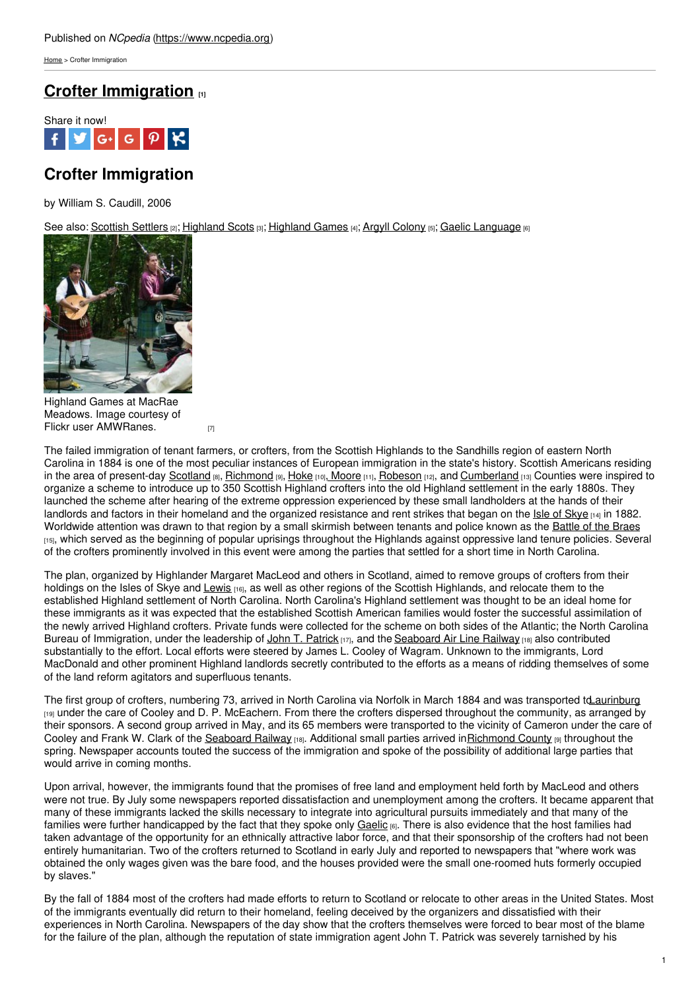[Home](https://www.ncpedia.org/) > Crofter Immigration

## **Crofter [Immigration](https://www.ncpedia.org/crofter-immigration) [1]**



# **Crofter Immigration**

by William S. Caudill, 2006

See also: [Scottish](https://www.ncpedia.org/scottish-settlers) Settlers [2]; [Highland](https://www.ncpedia.org/highland-games) Scots [3]; Highland Games [4]; Argyll [Colony](https://www.ncpedia.org/argyll-colony) [5]; Gaelic [Language](https://www.ncpedia.org/gaelic-language) [6]



Highland Games at MacRae Meadows. Image courtesy of Flickr user [AMWRanes.](https://www.flickr.com/photos/awelch/4238017908/) [7]

The failed immigration of tenant farmers, or crofters, from the Scottish Highlands to the Sandhills region of eastern North Carolina in 1884 is one of the most peculiar instances of European immigration in the state's history. Scottish Americans residing in the area of present-day [Scotland](https://www.ncpedia.org/geography/scotland) [8], [Richmond](https://www.ncpedia.org/geography/richmond) [9], [Hoke](https://www.ncpedia.org/geography/hoke) [10], [Moore](https://www.ncpedia.org/geography/moore) [11], [Robeson](https://www.ncpedia.org/geography/robeson) [12], and [Cumberland](https://www.ncpedia.org/geography/cumberland) [13] Counties were inspired to organize a scheme to introduce up to 350 Scottish Highland crofters into the old Highland settlement in the early 1880s. They launched the scheme after hearing of the extreme oppression experienced by these small landholders at the hands of their landlords and factors in their homeland and the organized resistance and rent strikes that began on the Isle of [Skye](http://www.skye.co.uk/) [14] in 1882. Worldwide attention was drawn to that region by a small skirmish between tenants and police known as the [Battle](http://www.educationscotland.gov.uk/scotlandshistory/makingindustrialurban/napiercommission/index.asp) of the Braes [15], which served as the beginning of popular uprisings throughout the Highlands against oppressive land tenure policies. Several of the crofters prominently involved in this event were among the parties that settled for a short time in North Carolina.

The plan, organized by Highlander Margaret MacLeod and others in Scotland, aimed to remove groups of crofters from their holdings on the Isles of Skye and [Lewis](https://maps.google.com/maps?oe=utf-8&client=firefox-a&q=isle+of+lewis&ie=UTF-8&hq=&hnear=0x488d8bbbf5da45c5:0xf2f676826d7cc719,Lewis&gl=us&ei=QOErUIqWJIim9gSp3oGwDw&ved=0CJ0BELYD) [16], as well as other regions of the Scottish Highlands, and relocate them to the established Highland settlement of North Carolina. North Carolina's Highland settlement was thought to be an ideal home for these immigrants as it was expected that the established Scottish American families would foster the successful assimilation of the newly arrived Highland crofters. Private funds were collected for the scheme on both sides of the Atlantic; the North Carolina Bureau of Immigration, under the leadership of John T. [Patrick](http://www.lib.ncsu.edu/findingaids/mss00283/#onlineContent) [17], and the [Seaboard](https://www.ncpedia.org/seaboard-air-line-railway) Air Line Railway [18] also contributed substantially to the effort. Local efforts were steered by James L. Cooley of Wagram. Unknown to the immigrants, Lord MacDonald and other prominent Highland landlords secretly contributed to the efforts as a means of ridding themselves of some of the land reform agitators and superfluous tenants.

The first group of crofters, numbering 73, arrived in North Carolina via Norfolk in March 1884 and was transported td aurinburg [19] under the care of Cooley and D. P. McEachern. From there the crofters dispersed throughout the community, as arranged by their sponsors. A second group arrived in May, and its 65 members were transported to the vicinity of Cameron under the care of Cooley and Frank W. Clark of the [Seaboard](https://www.ncpedia.org/seaboard-air-line-railway) Railway [18]. Additional small parties arrived in [Richmond](https://www.ncpedia.org/geography/richmond) County [9] throughout the spring. Newspaper accounts touted the success of the immigration and spoke of the possibility of additional large parties that would arrive in coming months.

Upon arrival, however, the immigrants found that the promises of free land and employment held forth by MacLeod and others were not true. By July some newspapers reported dissatisfaction and unemployment among the crofters. It became apparent that many of these immigrants lacked the skills necessary to integrate into agricultural pursuits immediately and that many of the families were further handicapped by the fact that they spoke only [Gaelic](https://www.ncpedia.org/gaelic-language) [6]. There is also evidence that the host families had taken advantage of the opportunity for an ethnically attractive labor force, and that their sponsorship of the crofters had not been entirely humanitarian. Two of the crofters returned to Scotland in early July and reported to newspapers that "where work was obtained the only wages given was the bare food, and the houses provided were the small one-roomed huts formerly occupied by slaves."

By the fall of 1884 most of the crofters had made efforts to return to Scotland or relocate to other areas in the United States. Most of the immigrants eventually did return to their homeland, feeling deceived by the organizers and dissatisfied with their experiences in North Carolina. Newspapers of the day show that the crofters themselves were forced to bear most of the blame for the failure of the plan, although the reputation of state immigration agent John T. Patrick was severely tarnished by his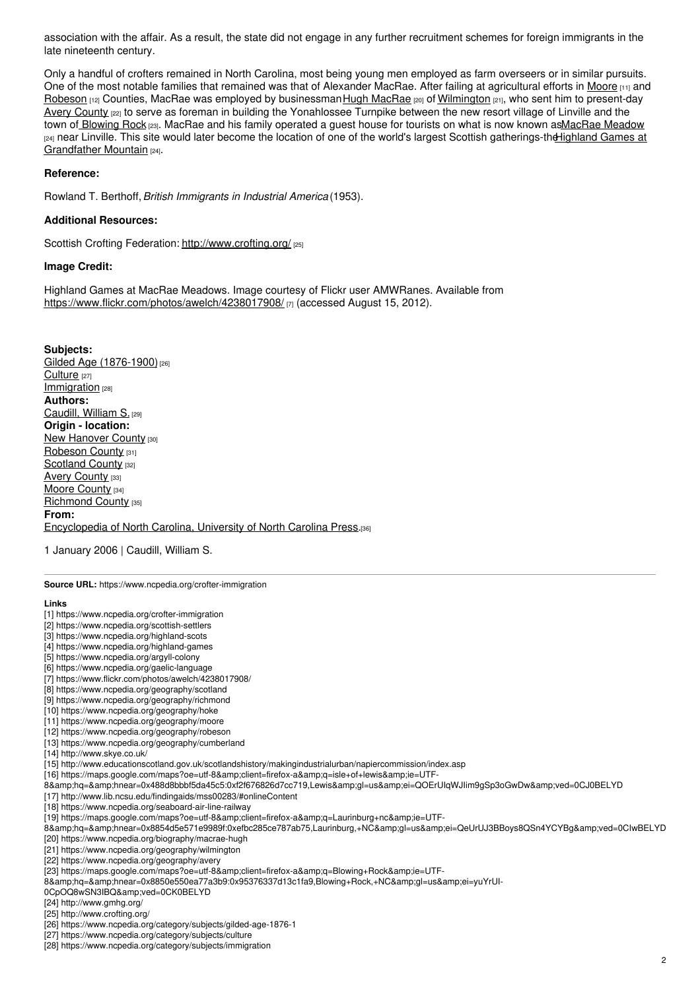association with the affair. As a result, the state did not engage in any further recruitment schemes for foreign immigrants in the late nineteenth century.

Only a handful of crofters remained in North Carolina, most being young men employed as farm overseers or in similar pursuits. One of the most notable families that remained was that of Alexander MacRae. After failing at agricultural efforts in [Moore](https://www.ncpedia.org/geography/moore) [11] and [Robeson](https://www.ncpedia.org/geography/robeson) [12] Counties, [MacRae](https://www.ncpedia.org/biography/macrae-hugh) was employed by businessman Hugh MacRae [20] of [Wilmington](https://www.ncpedia.org/geography/wilmington) [21], who sent him to present-day Avery [County](https://www.ncpedia.org/geography/avery) <sub>[22]</sub> to serve as foreman in building the Yonahlossee Turnpike between the new resort village of Linville and the town of [Blowing](https://maps.google.com/maps?oe=utf-8&client=firefox-a&q=Blowing+Rock&ie=UTF-8&hq=&hnear=0x8850e550ea77a3b9:0x95376337d13c1fa9,Blowing+Rock,+NC&gl=us&ei=yuYrUI-0CpOQ8wSN3IBQ&ved=0CK0BELYD) Rock [23]. MacRae and his family operated a guest house for tourists on what is now known as MacRae Meadow <sup>[24]</sup> near Linville. This site would later become the location of one of the world's largest Scottish gatherings-the Highland Games at Grandfather Mountain [24].

### **Reference:**

Rowland T. Berthoff,*British Immigrants in Industrial America* (1953).

### **Additional Resources:**

Scottish Crofting Federation: <http://www.crofting.org/> [25]

#### **Image Credit:**

Highland Games at MacRae Meadows. Image courtesy of Flickr user AMWRanes. Available from <https://www.flickr.com/photos/awelch/4238017908/> [7] (accessed August 15, 2012).

**Subjects:** Gilded Age [\(1876-1900\)](https://www.ncpedia.org/category/subjects/gilded-age-1876-1)<sup>[26]</sup> [Culture](https://www.ncpedia.org/category/subjects/culture) [27] [Immigration](https://www.ncpedia.org/category/subjects/immigration) [28] **Authors:** [Caudill,](https://www.ncpedia.org/category/authors/caudill-william-s) William S. [29] **Origin - location:** New [Hanover](https://www.ncpedia.org/category/origin-location/coastal--7) County [30] [Robeson](https://www.ncpedia.org/category/origin-location/coastal--1) County [31] [Scotland](https://www.ncpedia.org/category/origin-location/coastal--0) County [32] Avery [County](https://www.ncpedia.org/category/origin-location/mountai-16) [33] Moore [County](https://www.ncpedia.org/category/origin-location/piedmon-29) [34] [Richmond](https://www.ncpedia.org/category/origin-location/piedmon-26) County [35] **From:** [Encyclopedia](https://www.ncpedia.org/category/entry-source/encyclopedia-) of North Carolina, University of North Carolina Press.[36]

1 January 2006 | Caudill, William S.

**Source URL:** https://www.ncpedia.org/crofter-immigration

#### **Links**

- [1] https://www.ncpedia.org/crofter-immigration
- [2] https://www.ncpedia.org/scottish-settlers
- [3] https://www.ncpedia.org/highland-scots
- [4] https://www.ncpedia.org/highland-games
- [5] https://www.ncpedia.org/argyll-colony
- [6] https://www.ncpedia.org/gaelic-language
- [7] https://www.flickr.com/photos/awelch/4238017908/
- [8] https://www.ncpedia.org/geography/scotland
- [9] https://www.ncpedia.org/geography/richmond
- [10] https://www.ncpedia.org/geography/hoke
- [11] https://www.ncpedia.org/geography/moore
- [12] https://www.ncpedia.org/geography/robeson
- [13] https://www.ncpedia.org/geography/cumberland
- [14] http://www.skye.co.uk/
- [15] http://www.educationscotland.gov.uk/scotlandshistory/makingindustrialurban/napiercommission/index.asp
- [16] https://maps.google.com/maps?oe=utf-8&client=firefox-a&q=isle+of+lewis&ie=UTF-
- 8&hq=&hnear=0x488d8bbbf5da45c5:0xf2f676826d7cc719,Lewis&gl=us&ei=QOErUIqWJIim9gSp3oGwDw&ved=0CJ0BELYD

[17] http://www.lib.ncsu.edu/findingaids/mss00283/#onlineContent

- [18] https://www.ncpedia.org/seaboard-air-line-railway
- [19] https://maps.google.com/maps?oe=utf-8&client=firefox-a&q=Laurinburg+nc&ie=UTF-
- 8&hq=&hnear=0x8854d5e571e9989f:0xefbc285ce787ab75,Laurinburg,+NC&gl=us&ei=QeUrUJ3BBoys8QSn4YCYBg&ved=0CIwBELYD
- [20] https://www.ncpedia.org/biography/macrae-hugh
- [21] https://www.ncpedia.org/geography/wilmington
- [22] https://www.ncpedia.org/geography/avery
- [23] https://maps.google.com/maps?oe=utf-8&client=firefox-a&q=Blowing+Rock&ie=UTF-
- 8&hq=&hnear=0x8850e550ea77a3b9:0x95376337d13c1fa9,Blowing+Rock,+NC&gl=us&ei=yuYrUI-
- 0CpOQ8wSN3IBQ&ved=0CK0BELYD
- [24] http://www.gmhg.org/
- [25] http://www.crofting.org/
- [26] https://www.ncpedia.org/category/subjects/gilded-age-1876-1
- [27] https://www.ncpedia.org/category/subjects/culture
- [28] https://www.ncpedia.org/category/subjects/immigration